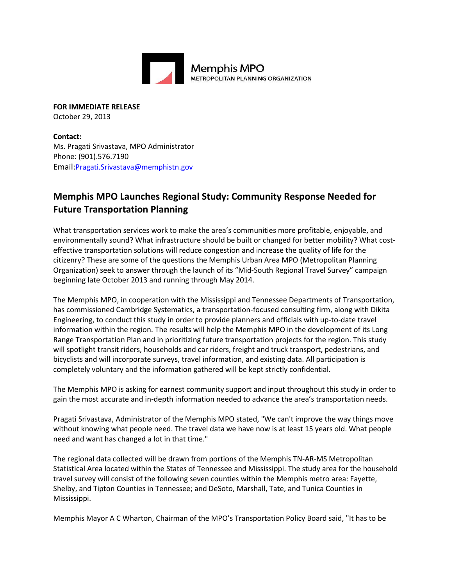

**FOR IMMEDIATE RELEASE** October 29, 2013

**Contact:** Ms. Pragati Srivastava, MPO Administrator Phone: (901).576.7190 Email:[Pragati.Srivastava@memphistn.gov](mailto:info@hornsbybrandesign.com)

## **Memphis MPO Launches Regional Study: Community Response Needed for Future Transportation Planning**

What transportation services work to make the area's communities more profitable, enjoyable, and environmentally sound? What infrastructure should be built or changed for better mobility? What costeffective transportation solutions will reduce congestion and increase the quality of life for the citizenry? These are some of the questions the Memphis Urban Area MPO (Metropolitan Planning Organization) seek to answer through the launch of its "Mid-South Regional Travel Survey" campaign beginning late October 2013 and running through May 2014.

The Memphis MPO, in cooperation with the Mississippi and Tennessee Departments of Transportation, has commissioned Cambridge Systematics, a transportation-focused consulting firm, along with Dikita Engineering, to conduct this study in order to provide planners and officials with up-to-date travel information within the region. The results will help the Memphis MPO in the development of its Long Range Transportation Plan and in prioritizing future transportation projects for the region. This study will spotlight transit riders, households and car riders, freight and truck transport, pedestrians, and bicyclists and will incorporate surveys, travel information, and existing data. All participation is completely voluntary and the information gathered will be kept strictly confidential.

The Memphis MPO is asking for earnest community support and input throughout this study in order to gain the most accurate and in-depth information needed to advance the area's transportation needs.

Pragati Srivastava, Administrator of the Memphis MPO stated, "We can't improve the way things move without knowing what people need. The travel data we have now is at least 15 years old. What people need and want has changed a lot in that time."

The regional data collected will be drawn from portions of the Memphis TN-AR-MS Metropolitan Statistical Area located within the States of Tennessee and Mississippi. The study area for the household travel survey will consist of the following seven counties within the Memphis metro area: Fayette, Shelby, and Tipton Counties in Tennessee; and DeSoto, Marshall, Tate, and Tunica Counties in Mississippi.

Memphis Mayor A C Wharton, Chairman of the MPO's Transportation Policy Board said, "It has to be